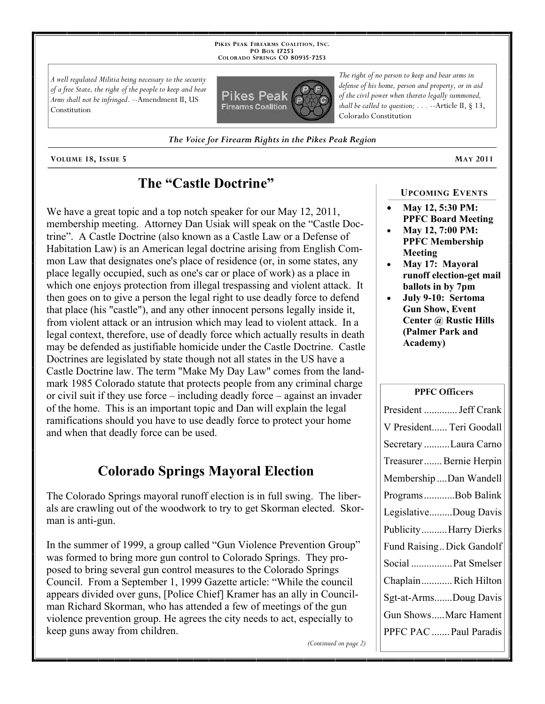**PIKES PEAK FIREARMS COALITION, INC. PO BOX 17253 COLORADO SPRINGS CO 80935 -7253**

*A well regulated Militia being necessary to the security of a free State, the right of the people to keep and bear Arms shall not be infringed.* --Amendment II, US Constitution



*The right of no person to keep and bear arms in defense of his home, person and property, or in aid of the civil power when thereto legally summoned, shall be called to question; . . .* --Article II, § 13, Colorado Constitution

*The Voice for Firearm Rights in the Pikes Peak Region*

**VOLUME 18, ISSUE 5 MAY 2011**

## **The "Castle Doctrine"**

We have a great topic and a top notch speaker for our May 12, 2011, membership meeting. Attorney Dan Usiak will speak on the "Castle Doctrine". A Castle Doctrine (also known as a Castle Law or a Defense of Habitation Law) is an American legal doctrine arising from English Common Law that designates one's place of residence (or, in some states, any place legally occupied, such as one's car or place of work) as a place in which one enjoys protection from illegal trespassing and violent attack. It then goes on to give a person the legal right to use deadly force to defend that place (his "castle"), and any other innocent persons legally inside it, from violent attack or an intrusion which may lead to violent attack. In a legal context, therefore, use of deadly force which actually results in death may be defended as justifiable homicide under the Castle Doctrine. Castle Doctrines are legislated by state though not all states in the US have a Castle Doctrine law. The term "Make My Day Law" comes from the landmark 1985 Colorado statute that protects people from any criminal charge or civil suit if they use force – including deadly force – against an invader of the home. This is an important topic and Dan will explain the legal ramifications should you have to use deadly force to protect your home and when that deadly force can be used.

# **Colorado Springs Mayoral Election**

The Colorado Springs mayoral runoff election is in full swing. The liberals are crawling out of the woodwork to try to get Skorman elected. Skorman is anti-gun.

In the summer of 1999, a group called "Gun Violence Prevention Group" was formed to bring more gun control to Colorado Springs. They proposed to bring several gun control measures to the Colorado Springs Council. From a September 1, 1999 Gazette article: "While the council appears divided over guns, [Police Chief] Kramer has an ally in Councilman Richard Skorman, who has attended a few of meetings of the gun violence prevention group. He agrees the city needs to act, especially to keep guns away from children.

*(Continued on page 2)*

### **UPCOMING EVENTS**

- **May 12, 5:30 PM: PPFC Board Meeting**
- **May 12, 7:00 PM: PPFC Membership Meeting**
- **May 17: Mayoral runoff election-get mail ballots in by 7pm**
- **July 9-10: Sertoma Gun Show, Event Center @ Rustic Hills (Palmer Park and Academy)**

### **PPFC Officers**

| President  Jeff Crank     |
|---------------------------|
| V President Teri Goodall  |
| Secretary Laura Carno     |
| Treasurer Bernie Herpin   |
| Membership Dan Wandell    |
| ProgramsBob Balink        |
| LegislativeDoug Davis     |
| PublicityHarry Dierks     |
| Fund Raising Dick Gandolf |
| Social  Pat Smelser       |
| ChaplainRich Hilton       |
| Sgt-at-ArmsDoug Davis     |
| Gun ShowsMarc Hament      |
| PPFC PAC  Paul Paradis    |